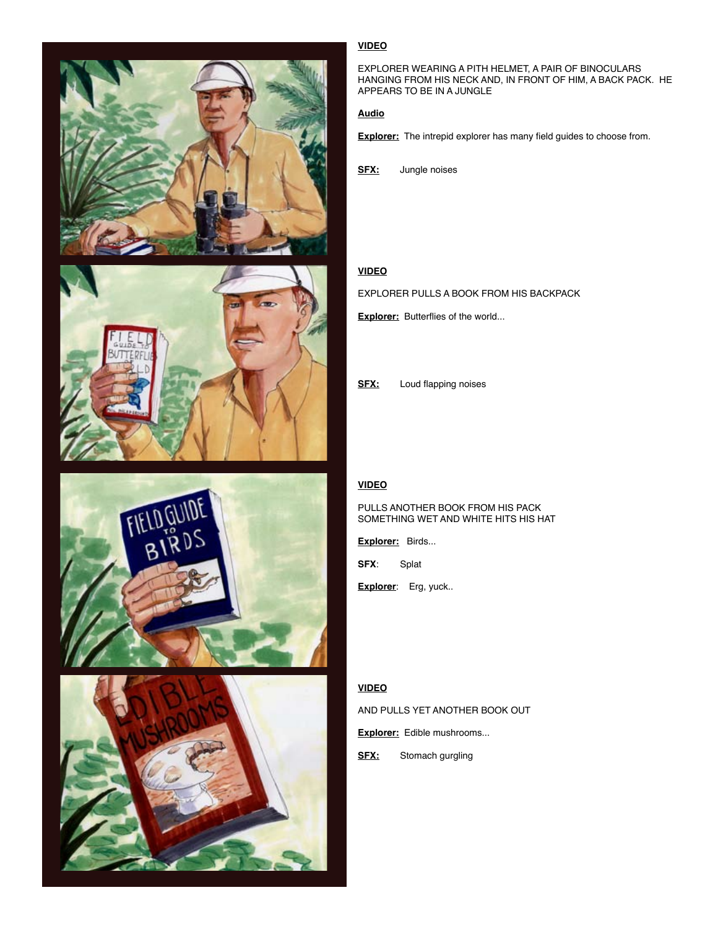







# **VIDEO**

EXPLORER WEARING A PITH HELMET, A PAIR OF BINOCULARS HANGING FROM HIS NECK AND, IN FRONT OF HIM, A BACK PACK. HE APPEARS TO BE IN A JUNGLE

#### **Audio**

**Explorer:** The intrepid explorer has many field guides to choose from.

**SFX:** Jungle noises

## **VIDEO**

EXPLORER PULLS A BOOK FROM HIS BACKPACK

**Explorer:** Butterflies of the world...

**SFX:** Loud flapping noises

# **VIDEO**

#### PULLS ANOTHER BOOK FROM HIS PACK SOMETHING WET AND WHITE HITS HIS HAT

**Explorer:** Birds...

**SFX**: Splat

**Explorer**: Erg, yuck..

#### **VIDEO**

AND PULLS YET ANOTHER BOOK OUT

**Explorer:** Edible mushrooms...

**SFX:** Stomach gurgling